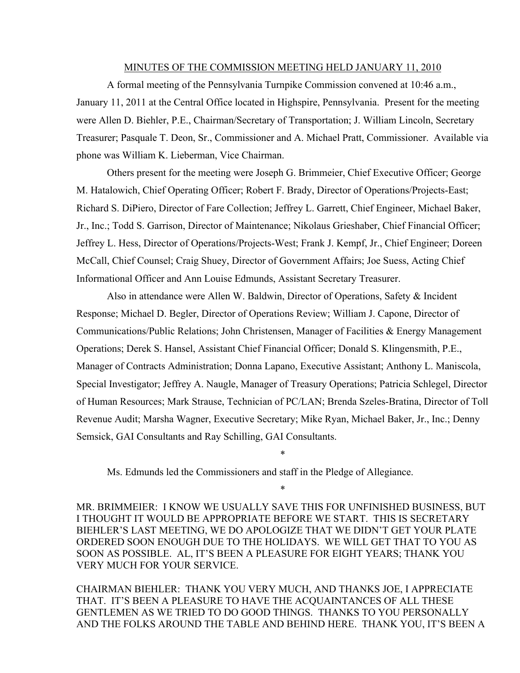#### MINUTES OF THE COMMISSION MEETING HELD JANUARY 11, 2010

A formal meeting of the Pennsylvania Turnpike Commission convened at 10:46 a.m., January 11, 2011 at the Central Office located in Highspire, Pennsylvania. Present for the meeting were Allen D. Biehler, P.E., Chairman/Secretary of Transportation; J. William Lincoln, Secretary Treasurer; Pasquale T. Deon, Sr., Commissioner and A. Michael Pratt, Commissioner. Available via phone was William K. Lieberman, Vice Chairman.

Others present for the meeting were Joseph G. Brimmeier, Chief Executive Officer; George M. Hatalowich, Chief Operating Officer; Robert F. Brady, Director of Operations/Projects-East; Richard S. DiPiero, Director of Fare Collection; Jeffrey L. Garrett, Chief Engineer, Michael Baker, Jr., Inc.; Todd S. Garrison, Director of Maintenance; Nikolaus Grieshaber, Chief Financial Officer; Jeffrey L. Hess, Director of Operations/Projects-West; Frank J. Kempf, Jr., Chief Engineer; Doreen McCall, Chief Counsel; Craig Shuey, Director of Government Affairs; Joe Suess, Acting Chief Informational Officer and Ann Louise Edmunds, Assistant Secretary Treasurer.

Also in attendance were Allen W. Baldwin, Director of Operations, Safety & Incident Response; Michael D. Begler, Director of Operations Review; William J. Capone, Director of Communications/Public Relations; John Christensen, Manager of Facilities & Energy Management Operations; Derek S. Hansel, Assistant Chief Financial Officer; Donald S. Klingensmith, P.E., Manager of Contracts Administration; Donna Lapano, Executive Assistant; Anthony L. Maniscola, Special Investigator; Jeffrey A. Naugle, Manager of Treasury Operations; Patricia Schlegel, Director of Human Resources; Mark Strause, Technician of PC/LAN; Brenda Szeles-Bratina, Director of Toll Revenue Audit; Marsha Wagner, Executive Secretary; Mike Ryan, Michael Baker, Jr., Inc.; Denny Semsick, GAI Consultants and Ray Schilling, GAI Consultants.

Ms. Edmunds led the Commissioners and staff in the Pledge of Allegiance.

MR. BRIMMEIER: I KNOW WE USUALLY SAVE THIS FOR UNFINISHED BUSINESS, BUT I THOUGHT IT WOULD BE APPROPRIATE BEFORE WE START. THIS IS SECRETARY BIEHLER'S LAST MEETING, WE DO APOLOGIZE THAT WE DIDN'T GET YOUR PLATE ORDERED SOON ENOUGH DUE TO THE HOLIDAYS. WE WILL GET THAT TO YOU AS SOON AS POSSIBLE. AL, IT'S BEEN A PLEASURE FOR EIGHT YEARS; THANK YOU VERY MUCH FOR YOUR SERVICE.

\*

\*

CHAIRMAN BIEHLER: THANK YOU VERY MUCH, AND THANKS JOE, I APPRECIATE THAT. IT'S BEEN A PLEASURE TO HAVE THE ACQUAINTANCES OF ALL THESE GENTLEMEN AS WE TRIED TO DO GOOD THINGS. THANKS TO YOU PERSONALLY AND THE FOLKS AROUND THE TABLE AND BEHIND HERE. THANK YOU, IT'S BEEN A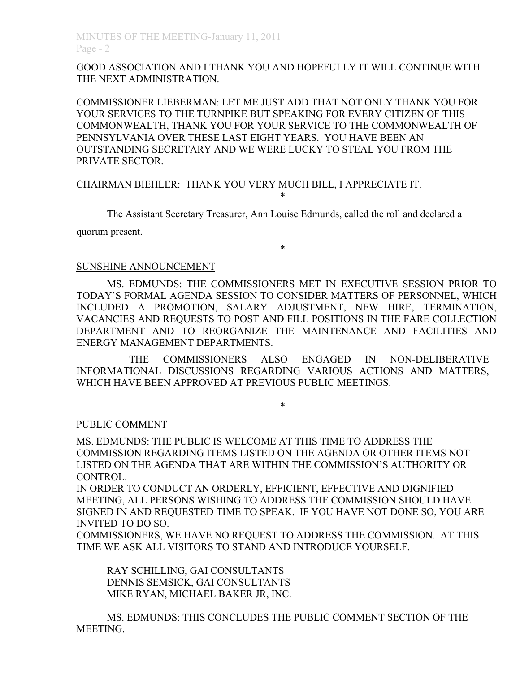## GOOD ASSOCIATION AND I THANK YOU AND HOPEFULLY IT WILL CONTINUE WITH THE NEXT ADMINISTRATION.

COMMISSIONER LIEBERMAN: LET ME JUST ADD THAT NOT ONLY THANK YOU FOR YOUR SERVICES TO THE TURNPIKE BUT SPEAKING FOR EVERY CITIZEN OF THIS COMMONWEALTH, THANK YOU FOR YOUR SERVICE TO THE COMMONWEALTH OF PENNSYLVANIA OVER THESE LAST EIGHT YEARS. YOU HAVE BEEN AN OUTSTANDING SECRETARY AND WE WERE LUCKY TO STEAL YOU FROM THE PRIVATE SECTOR.

## CHAIRMAN BIEHLER: THANK YOU VERY MUCH BILL, I APPRECIATE IT.

The Assistant Secretary Treasurer, Ann Louise Edmunds, called the roll and declared a quorum present.

\*

\*

## SUNSHINE ANNOUNCEMENT

MS. EDMUNDS: THE COMMISSIONERS MET IN EXECUTIVE SESSION PRIOR TO TODAY'S FORMAL AGENDA SESSION TO CONSIDER MATTERS OF PERSONNEL, WHICH INCLUDED A PROMOTION, SALARY ADJUSTMENT, NEW HIRE, TERMINATION, VACANCIES AND REQUESTS TO POST AND FILL POSITIONS IN THE FARE COLLECTION DEPARTMENT AND TO REORGANIZE THE MAINTENANCE AND FACILITIES AND ENERGY MANAGEMENT DEPARTMENTS.

THE COMMISSIONERS ALSO ENGAGED IN NON-DELIBERATIVE INFORMATIONAL DISCUSSIONS REGARDING VARIOUS ACTIONS AND MATTERS, WHICH HAVE BEEN APPROVED AT PREVIOUS PUBLIC MEETINGS.

#### \*

## PUBLIC COMMENT

MS. EDMUNDS: THE PUBLIC IS WELCOME AT THIS TIME TO ADDRESS THE COMMISSION REGARDING ITEMS LISTED ON THE AGENDA OR OTHER ITEMS NOT LISTED ON THE AGENDA THAT ARE WITHIN THE COMMISSION'S AUTHORITY OR CONTROL.

IN ORDER TO CONDUCT AN ORDERLY, EFFICIENT, EFFECTIVE AND DIGNIFIED MEETING, ALL PERSONS WISHING TO ADDRESS THE COMMISSION SHOULD HAVE SIGNED IN AND REQUESTED TIME TO SPEAK. IF YOU HAVE NOT DONE SO, YOU ARE INVITED TO DO SO.

COMMISSIONERS, WE HAVE NO REQUEST TO ADDRESS THE COMMISSION. AT THIS TIME WE ASK ALL VISITORS TO STAND AND INTRODUCE YOURSELF.

RAY SCHILLING, GAI CONSULTANTS DENNIS SEMSICK, GAI CONSULTANTS MIKE RYAN, MICHAEL BAKER JR, INC.

MS. EDMUNDS: THIS CONCLUDES THE PUBLIC COMMENT SECTION OF THE MEETING.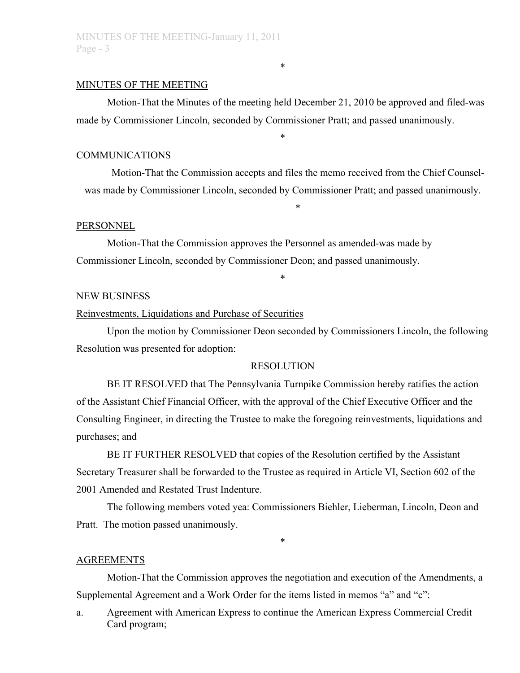## MINUTES OF THE MEETING

Motion-That the Minutes of the meeting held December 21, 2010 be approved and filed-was made by Commissioner Lincoln, seconded by Commissioner Pratt; and passed unanimously.

\*

\*

#### COMMUNICATIONS

Motion-That the Commission accepts and files the memo received from the Chief Counselwas made by Commissioner Lincoln, seconded by Commissioner Pratt; and passed unanimously.

\*

#### **PERSONNEL**

Motion-That the Commission approves the Personnel as amended-was made by Commissioner Lincoln, seconded by Commissioner Deon; and passed unanimously.

#### NEW BUSINESS

#### Reinvestments, Liquidations and Purchase of Securities

Upon the motion by Commissioner Deon seconded by Commissioners Lincoln, the following Resolution was presented for adoption:

\*

### RESOLUTION

BE IT RESOLVED that The Pennsylvania Turnpike Commission hereby ratifies the action of the Assistant Chief Financial Officer, with the approval of the Chief Executive Officer and the Consulting Engineer, in directing the Trustee to make the foregoing reinvestments, liquidations and purchases; and

BE IT FURTHER RESOLVED that copies of the Resolution certified by the Assistant Secretary Treasurer shall be forwarded to the Trustee as required in Article VI, Section 602 of the 2001 Amended and Restated Trust Indenture.

The following members voted yea: Commissioners Biehler, Lieberman, Lincoln, Deon and Pratt. The motion passed unanimously.

\*

#### AGREEMENTS

Motion-That the Commission approves the negotiation and execution of the Amendments, a Supplemental Agreement and a Work Order for the items listed in memos "a" and "c":

a. Agreement with American Express to continue the American Express Commercial Credit Card program;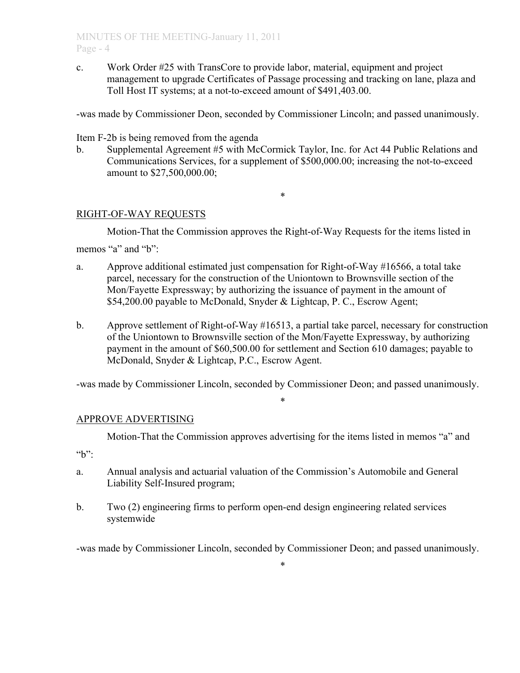c. Work Order #25 with TransCore to provide labor, material, equipment and project management to upgrade Certificates of Passage processing and tracking on lane, plaza and Toll Host IT systems; at a not-to-exceed amount of \$491,403.00.

-was made by Commissioner Deon, seconded by Commissioner Lincoln; and passed unanimously.

Item F-2b is being removed from the agenda

b. Supplemental Agreement #5 with McCormick Taylor, Inc. for Act 44 Public Relations and Communications Services, for a supplement of \$500,000.00; increasing the not-to-exceed amount to \$27,500,000.00;

\*

## RIGHT-OF-WAY REQUESTS

Motion-That the Commission approves the Right-of-Way Requests for the items listed in memos "a" and "b":

- a. Approve additional estimated just compensation for Right-of-Way #16566, a total take parcel, necessary for the construction of the Uniontown to Brownsville section of the Mon/Fayette Expressway; by authorizing the issuance of payment in the amount of \$54,200.00 payable to McDonald, Snyder & Lightcap, P. C., Escrow Agent;
- b. Approve settlement of Right-of-Way #16513, a partial take parcel, necessary for construction of the Uniontown to Brownsville section of the Mon/Fayette Expressway, by authorizing payment in the amount of \$60,500.00 for settlement and Section 610 damages; payable to McDonald, Snyder & Lightcap, P.C., Escrow Agent.

-was made by Commissioner Lincoln, seconded by Commissioner Deon; and passed unanimously.

\*

## APPROVE ADVERTISING

Motion-That the Commission approves advertising for the items listed in memos "a" and

 $b$ ":

- a. Annual analysis and actuarial valuation of the Commission's Automobile and General Liability Self-Insured program;
- b. Two (2) engineering firms to perform open-end design engineering related services systemwide

-was made by Commissioner Lincoln, seconded by Commissioner Deon; and passed unanimously.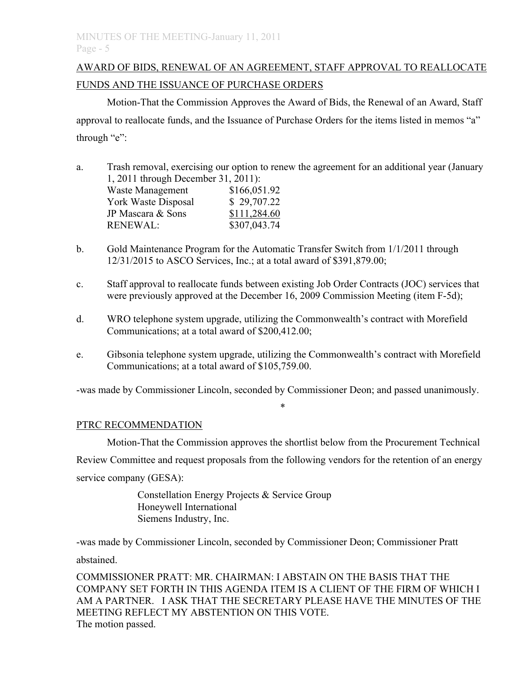# AWARD OF BIDS, RENEWAL OF AN AGREEMENT, STAFF APPROVAL TO REALLOCATE FUNDS AND THE ISSUANCE OF PURCHASE ORDERS

Motion-That the Commission Approves the Award of Bids, the Renewal of an Award, Staff approval to reallocate funds, and the Issuance of Purchase Orders for the items listed in memos "a" through "e":

- a. Trash removal, exercising our option to renew the agreement for an additional year (January 1, 2011 through December 31, 2011): Waste Management \$166,051.92 York Waste Disposal \$ 29,707.22 JP Mascara & Sons \$111,284.60 RENEWAL: \$307,043.74
- b. Gold Maintenance Program for the Automatic Transfer Switch from 1/1/2011 through 12/31/2015 to ASCO Services, Inc.; at a total award of \$391,879.00;
- c. Staff approval to reallocate funds between existing Job Order Contracts (JOC) services that were previously approved at the December 16, 2009 Commission Meeting (item F-5d);
- d. WRO telephone system upgrade, utilizing the Commonwealth's contract with Morefield Communications; at a total award of \$200,412.00;
- e. Gibsonia telephone system upgrade, utilizing the Commonwealth's contract with Morefield Communications; at a total award of \$105,759.00.

-was made by Commissioner Lincoln, seconded by Commissioner Deon; and passed unanimously.

\*

## PTRC RECOMMENDATION

Motion-That the Commission approves the shortlist below from the Procurement Technical Review Committee and request proposals from the following vendors for the retention of an energy service company (GESA):

> Constellation Energy Projects & Service Group Honeywell International Siemens Industry, Inc.

-was made by Commissioner Lincoln, seconded by Commissioner Deon; Commissioner Pratt

abstained.

COMMISSIONER PRATT: MR. CHAIRMAN: I ABSTAIN ON THE BASIS THAT THE COMPANY SET FORTH IN THIS AGENDA ITEM IS A CLIENT OF THE FIRM OF WHICH I AM A PARTNER. I ASK THAT THE SECRETARY PLEASE HAVE THE MINUTES OF THE MEETING REFLECT MY ABSTENTION ON THIS VOTE. The motion passed.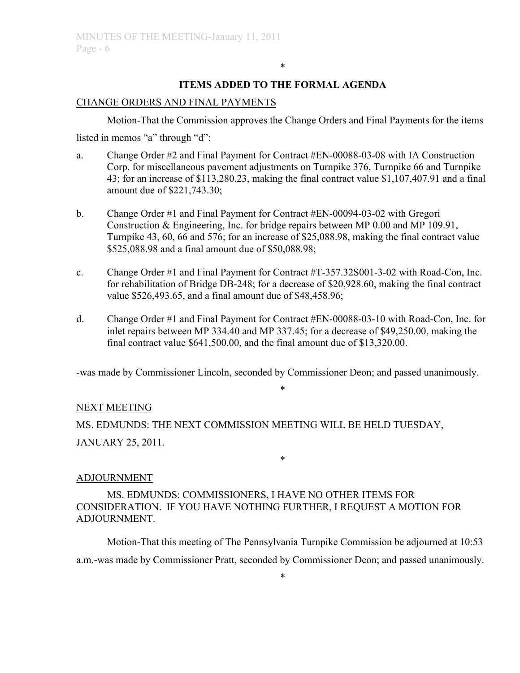## **ITEMS ADDED TO THE FORMAL AGENDA**

\*

### CHANGE ORDERS AND FINAL PAYMENTS

Motion-That the Commission approves the Change Orders and Final Payments for the items listed in memos "a" through "d":

- a. Change Order #2 and Final Payment for Contract #EN-00088-03-08 with IA Construction Corp. for miscellaneous pavement adjustments on Turnpike 376, Turnpike 66 and Turnpike 43; for an increase of \$113,280.23, making the final contract value \$1,107,407.91 and a final amount due of \$221,743.30;
- b. Change Order #1 and Final Payment for Contract #EN-00094-03-02 with Gregori Construction & Engineering, Inc. for bridge repairs between MP 0.00 and MP 109.91, Turnpike 43, 60, 66 and 576; for an increase of \$25,088.98, making the final contract value \$525,088.98 and a final amount due of \$50,088.98;
- c. Change Order #1 and Final Payment for Contract #T-357.32S001-3-02 with Road-Con, Inc. for rehabilitation of Bridge DB-248; for a decrease of \$20,928.60, making the final contract value \$526,493.65, and a final amount due of \$48,458.96;
- d. Change Order #1 and Final Payment for Contract #EN-00088-03-10 with Road-Con, Inc. for inlet repairs between MP 334.40 and MP 337.45; for a decrease of \$49,250.00, making the final contract value \$641,500.00, and the final amount due of \$13,320.00.

-was made by Commissioner Lincoln, seconded by Commissioner Deon; and passed unanimously.

## \*

\*

## NEXT MEETING

MS. EDMUNDS: THE NEXT COMMISSION MEETING WILL BE HELD TUESDAY, JANUARY 25, 2011.

## ADJOURNMENT

MS. EDMUNDS: COMMISSIONERS, I HAVE NO OTHER ITEMS FOR CONSIDERATION. IF YOU HAVE NOTHING FURTHER, I REQUEST A MOTION FOR ADJOURNMENT.

Motion-That this meeting of The Pennsylvania Turnpike Commission be adjourned at 10:53 a.m.-was made by Commissioner Pratt, seconded by Commissioner Deon; and passed unanimously.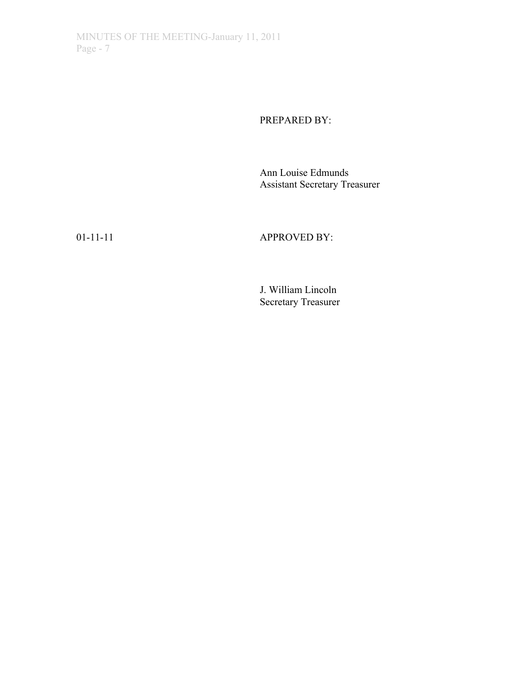PREPARED BY:

Ann Louise Edmunds Assistant Secretary Treasurer

01-11-11 APPROVED BY:

J. William Lincoln Secretary Treasurer